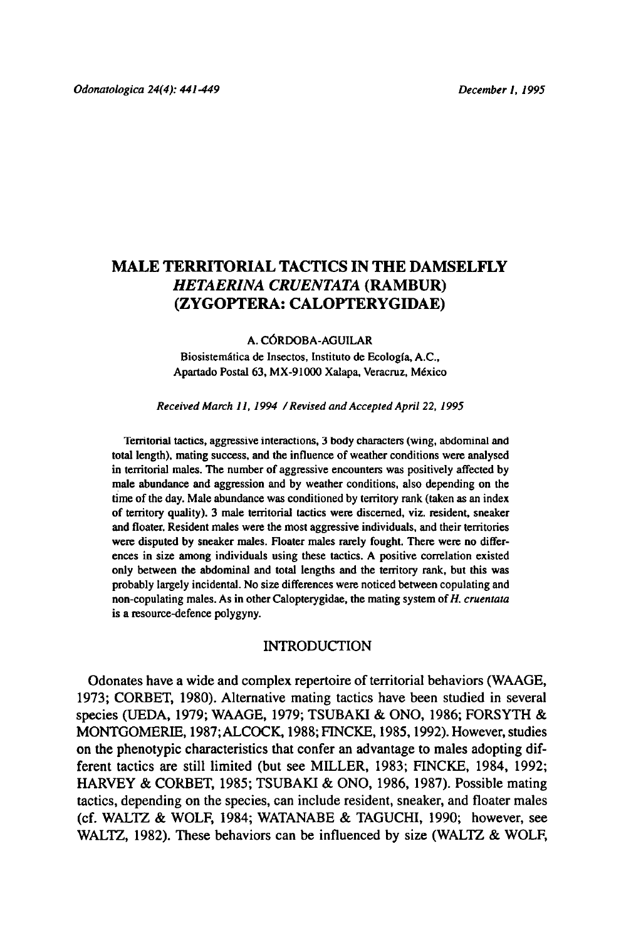# MALE TERRITORIAL TACTICS IN THE DAMSELFLY Hetaerina cruentata(Rambur) (Zygoptera: Calopterygidae)

#### A. Córdoba-Aguilar

Biosistemática de Insectos, Instituto de Ecología, A.C., Apartado Postal 63, MX-91000 Xalapa, Veracruz, México

Received March 11, 1994 / Revised and Accepted April 22, 1995

Territorial tactics, aggressive interactions, <sup>3</sup> body characters (wing, abdominaland total length), mating success, and the influence of weather conditions were analysed in territorial males. The number of aggressive encounters was positively affected by male abundance and aggression and by weather conditions, also depending on the time of the day. Male abundance was conditioned by territory rank (taken as an index of territory quality). <sup>3</sup> male territorial tactics were discerned, viz. resident, sneaker and floater. Resident males were the most aggressive individuals, and their territories were disputed by sneaker males. Floater males rarely fought. There were no differences in size among individuals using these tactics. A positive correlation existed only between the abdominal and total lengths and the territory rank, but this was probably largely incidental. No size differences were noticed between copulating and non-copulating males. As in other Calopterygidae, the mating system of  $H$ . cruentata is a resource-defence polygyny.

#### INTRODUCTION

Odonates have a wide and complex repertoire of territorial behaviors (WAAGE, 1973; CORBET, 1980). Alternative mating tactics have been studied in several species (UEDA, 1979; WAAGE, 1979; TSUBAKI & ONO, 1986; FORSYTH & MONTGOMERIE, 1987; ALCOCK, 1988;FINCKE, 1985,1992). However, studies on the phenotypic characteristics that confer an advantage to males adopting different tactics are still limited (but see MILLER, 1983; FINCKE, 1984, 1992; HARVEY & CORBET, 1985; TSUBAKI & ONO, 1986, 1987). Possible mating tactics, depending on the species, can includeresident, sneaker, and floater males (cf. WALTZ & WOLF, 1984; WATANABE & TAGUCHI, 1990; however, see WALTZ, 1982). These behaviors can be influenced by size (WALTZ & WOLF,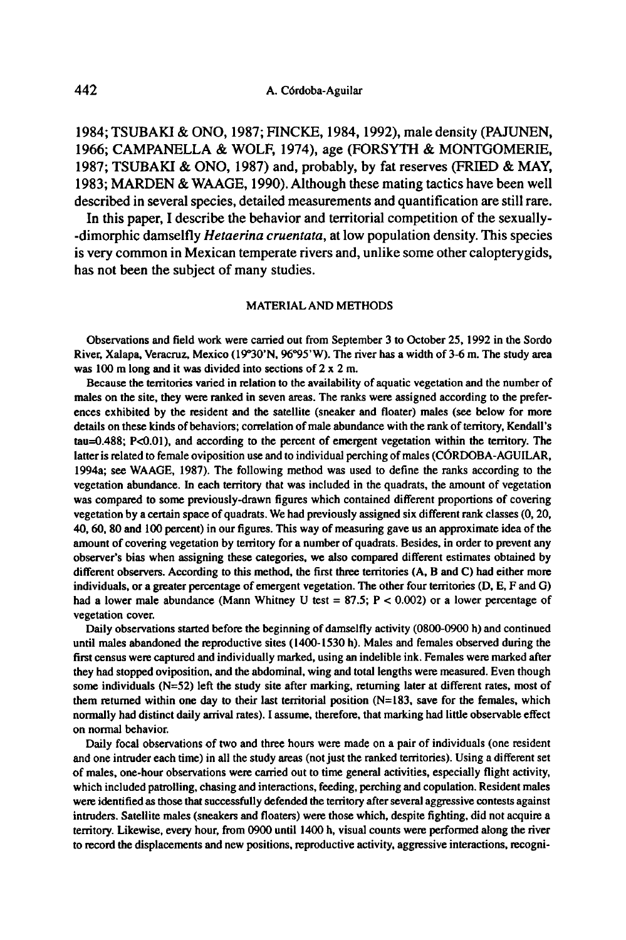1984; TSUBAKI & ONO, 1987;FINCKE, 1984, 1992), male density (PAJUNEN, 1966; CAMPANELLA & WOLF, 1974), age (FORSYTH & MONTGOMERIE, 1987; TSUBAKI & ONO, 1987) and, probably, by fat reserves (FRIED & MAY, 1983; MARDEN & WAAGE, 1990). Although these mating tactics have been well described in several species, detailed measurements and quantification are still rare.

In this paper, I describe the behavior and territorial competition of the sexually--dimorphic damselfly *Hetaerina cruentata*, at low population density. This species is very common in Mexican temperate rivers and, unlike some other calopterygids, has not been the subject of many studies.

#### MATERIALAND METHODS

Observations and field work were carried out from September <sup>3</sup> to October 25, 1992 in the Sordo River, Xalapa, Veracruz, Mexico (19°30'N, 96°95'W). The river has a width of 3-6 m. The study area was <sup>100</sup> m long and it was divided into sections of 2 x 2 m.

Because the territories varied in relation to the availability of aquatic vegetation and the number of males on the site, they were ranked in seven areas. The ranks were assigned according to the preferences exhibited by the resident and the satellite (sneaker and floater) males (see below for more details on these kinds of behaviors; correlation of male abundance with the rank of territory, Kendall's tau=0.488; PcO.Ol), and according to the percent of emergent vegetation within the territory. The latter is related to female oviposition use and to individual perching of males (CÓRDOBA-AGUILAR, 1994a; see WAAGE, 1987). The following method was used to define the ranks according to the vegetation abundance. In each territory that was included in the quadrats, the amount of vegetation was compared to some previously-drawn figures which contained different proportions of covering vegetation by a certain space of quadrats. We had previously assigned six different rank classes (0, 20, 40, 60, 80 and 100 percent) in our figures. This way of measuring gave us an approximate idea of the amount of covering vegetation by territory for a number of quadrats. Besides, in order to prevent any observer's bias when assigning these categories, we also compared different estimates obtained by different observers. According to this method, the first three territories (A, B and C) had either more individuals, or a greater percentage of emergent vegetation. The other four territories (D, E, F and G) had a lower male abundance (Mann Whitney U test =  $87.5$ ;  $P < 0.002$ ) or a lower percentage of vegetation cover.

Daily observations started before the beginning of damselfly activity (0800-0900 h) and continued until males abandoned the reproductive sites (1400-1530h). Males and females observed during the first census were captured and individually marked, using an indelible ink. Females were marked after they had stopped oviposition, and the abdominal, wing and total lengths were measured. Even though some individuals (N=52) left the study site after marking, returning later at different rates, most of them returned within one day to their last territorial position (N=183, save for the females, which normally had distinct daily arrival rates). I assume, therefore, that marking had little observable effect on normal behavior.

Daily focal observations of two and three hours were made on a pair of individuals (one resident and one intruder each time) in all the study areas (not just the ranked territories). Using a different set of males, one-hour observations were carried out to time general activities, especially flight activity, which included patrolling, chasing and interactions, feeding, perching and copulation. Resident males were identified as those that successfully defended the territory after several aggressive contests against intruders. Satellite males (sneakers and floaters) were those which, despite fighting, did not acquire a territory. Likewise, every hour, from 0900 until 1400 h, visual counts were performedalong the river to record the displacements and new positions, reproductive activity, aggressive interactions, recogni-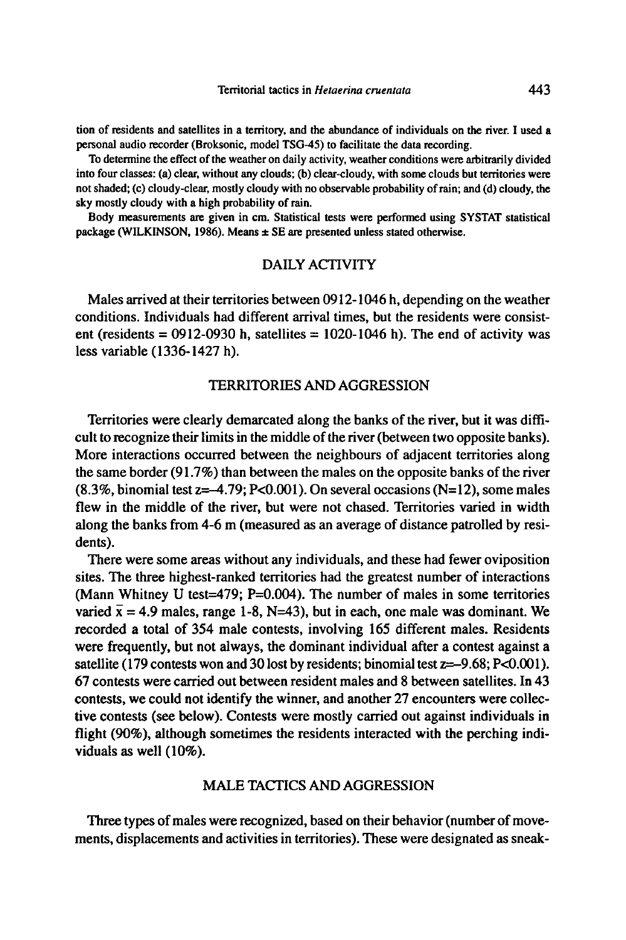tion of residents and satellites in a territory, and the abundance of individuals on the river, I used <sup>a</sup> personal audio recorder (Broksonic, model TSG-45) to facilitate the data recording.

To determine the effect of the weather on daily activity, weather conditions were arbitrarily divided into four classes: (a) clear, without any clouds; (b) clear-cloudy, with some clouds but territories were not shaded; (c) cloudy-clear, mostly cloudywith no observable probability ofrain; and (d) cloudy, the sky mostly cloudy with a high probability of rain.

Body measurements are given in cm. Statistical tests were performed using SYSTAT statistical package (WILKINSON, 1986). Means  $\pm$  SE are presented unless stated otherwise.

# DAILY ACTIVITY

Males arrived at their territories between 0912-1046 h, depending on the weather conditions. Individuals had different arrival times, but the residents were consistent (residents = 0912-0930 h, satellites = 1020-1046 h). The end of activity was less variable (1336-1427 h).

### TERRITORIES AND AGGRESSION

Territories were clearly demarcated along the banks of the river, but it was difficult to recognize their limits in the middle of the river (between two opposite banks). More interactions occurred between the neighbours of adjacent territories along the same border  $(91.7\%)$  than between the males on the opposite banks of the river  $(8.3\%$ , binomial test  $z=-4.79$ ; P<0.001). On several occasions (N=12), some males flew in the middle of the river, but were not chased. Territories varied in width along the banks from 4-6 m (measured as an average of distance patrolled by residents).

There were some areas without any individuals, and these had fewer oviposition sites. The three highest-ranked territories had the greatest number of interactions (Mann Whitney U test=479; P=0.004). The number of males in some territories varied  $\bar{x}$  = 4.9 males, range 1-8, N=43), but in each, one male was dominant. We recorded <sup>a</sup> total of 354 male contests, involving 165 different males. Residents were frequently, but not always, the dominant individual after a contest against a satellite (179 contests won and 30 lost by residents; binomial test  $z=-9.68$ ; P<0.001). 67 contests were carried out between resident males and 8 between satellites. In 43 contests, we could not identify the winner, and another 27 encounters were collective contests (see below). Contests were mostly carried out against individuals in flight (90%), although sometimes the residents interacted with the perching individuals as well (10%).

# MALETACTICS AND AGGRESSION

Three types of males were recognized, based on their behavior (number of movements, displacements and activities in territories). These were designated as sneak-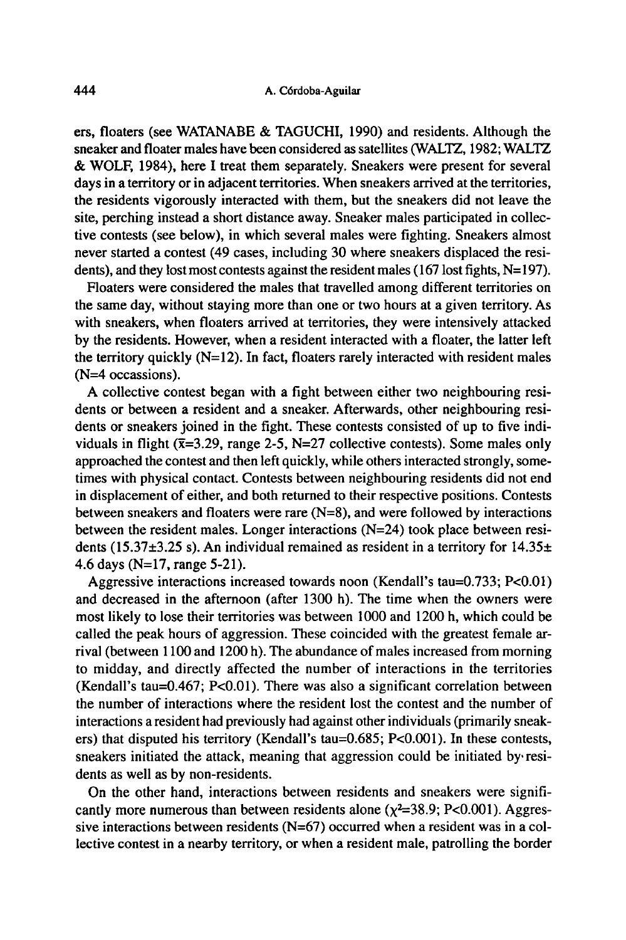ers, floaters (see WATANABE & TAGUCHI, 1990) and residents. Although the sneaker and floater males have been considered as satellites (WALTZ, 1982; WALTZ & WOLF, 1984), here I treat them separately. Sneakers were present for several days in a territory or in adjacent territories. When sneakers arrived at the territories, the residents vigorously interacted with them, but the sneakers did not leave the site, perching instead a short distance away. Sneaker males participated in collective contests (see below), in which several males were fighting. Sneakers almost never started <sup>a</sup> contest (49 cases, including 30 where sneakers displaced the residents), and they lost most contests against the resident males (167 lost fights,  $N=197$ ).

Floaters were considered the males that travelled among different territories on the same day, without staying more than one or two hours at <sup>a</sup> given territory. As with sneakers, when floaters arrived at territories, they were intensively attacked by the residents. However, when <sup>a</sup> resident interacted with <sup>a</sup> floater, the latter left the territory quickly  $(N=12)$ . In fact, floaters rarely interacted with resident males (N=4 occassions).

A collective contest began with a fight between either two neighbouring residents or between <sup>a</sup> resident and <sup>a</sup> sneaker. Afterwards, other neighbouring residents or sneakers joined in the fight. These contests consisted of up to five individuals in flight ( $\bar{x}$ =3.29, range 2-5, N=27 collective contests). Some males only approached the contest and then left quickly, while others interacted strongly, sometimes with physical contact. Contests between neighbouring residents did not end in displacement of either, and both returned to their respective positions. Contests between sneakers and floaters were rare (N=8), and were followed by interactions between the resident males. Longer interactions (N=24) took place between residents (15.37 $\pm$ 3.25 s). An individual remained as resident in a territory for 14.35 $\pm$ 4.6 days (N=17, range 5-21).

Aggressive interactions increased towards noon (Kendall's tau=0.733; P<0.01) and decreased in the afternoon (after 1300 h). The time when the owners were most likely to lose their territories was between 1000 and 1200 h, which could be called the peak hours of aggression. These coincided with the greatest female arrival (between 1100 and 1200 h). The abundance of males increased from morning to midday, and directly affected the number of interactions in the territories (Kendall's tau= $0.467$ ; P< $0.01$ ). There was also a significant correlation between the number of interactions where the resident lost the contest and the numberof interactions a resident had previously had against other individuals (primarily sneakers) that disputed his territory (Kendall's tau=0.685; PcO.001). In these contests, sneakers initiated the attack, meaning that aggression could be initiated by residents as well as by non-residents.

On the other hand, interactions between residents and sneakers were significantly more numerous than between residents alone  $(\chi^2=38.9; P<0.001)$ . Aggressive interactions between residents (N=67) occurred when <sup>a</sup> resident was in <sup>a</sup> collective contest in <sup>a</sup> nearby territory, or when <sup>a</sup> resident male, patrolling the border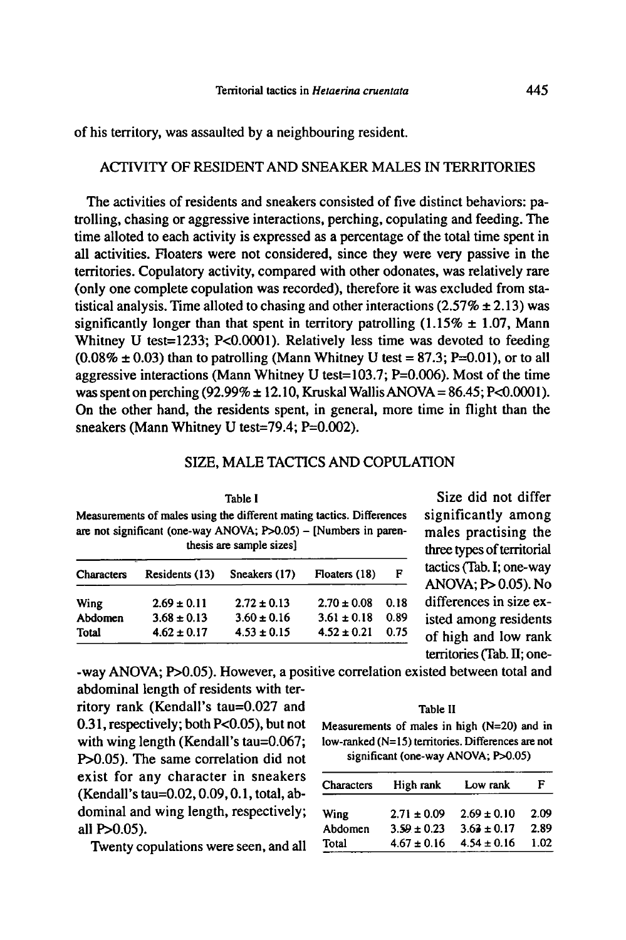of his territory, was assaulted by <sup>a</sup> neighbouring resident.

# ACTIVITY OF RESIDENT AND SNEAKER MALES IN TERRITORIES

The activities of residents and sneakers consisted of five distinct behaviors: patrolling, chasing or aggressive interactions, perching, copulating and feeding. The time alloted to each activity is expressed as a percentage of the total time spent in all activities. Floaters were not considered, since they were very passive in the territories. Copulatory activity, compared with other odonates, was relatively rare (only one complete copulation was recorded), therefore it was excluded from statistical analysis. Time alloted to chasing and other interactions (2.57%  $\pm$  2.13) was significantly longer than that spent in territory patrolling  $(1.15\% \pm 1.07)$ , Mann Whitney U test=1233; P<0.0001). Relatively less time was devoted to feeding  $(0.08\% \pm 0.03)$  than to patrolling (Mann Whitney U test = 87.3; P=0.01), or to all aggressive interactions (Mann Whitney U test=103.7;  $P=0.006$ ). Most of the time was spent on perching (92.99%  $\pm$  12.10, Kruskal Wallis ANOVA = 86.45; P<0.0001). On the other hand, the residents spent, in general, more time in flight than the sneakers (Mann Whitney U test=79.4; P=0.002).

## SIZE, MALE TACTICS AND COPULATION

| Table I<br>Measurements of males using the different mating tactics. Differences<br>are not significant (one-way ANOVA; P>0.05) - [Numbers in paren-<br>thesis are sample sizes! |                 |                 |                 |      |  |  |  |
|----------------------------------------------------------------------------------------------------------------------------------------------------------------------------------|-----------------|-----------------|-----------------|------|--|--|--|
| <b>Characters</b>                                                                                                                                                                | Residents (13)  | Sneakers (17)   | Floaters (18)   | F    |  |  |  |
| Wing                                                                                                                                                                             | $2.69 \pm 0.11$ | $2.72 \pm 0.13$ | $2.70 \pm 0.08$ | 0.18 |  |  |  |
| Abdomen                                                                                                                                                                          | $3.68 \pm 0.13$ | $3.60 \pm 0.16$ | $3.61 \pm 0.18$ | 0.89 |  |  |  |
| Total                                                                                                                                                                            | $4.62 \pm 0.17$ | $4.53 \pm 0.15$ | $4.52 \pm 0.21$ | 0.75 |  |  |  |

Size did not differ significantly among males practising the three types of territorial tactics (Tab. I; one-way ANOVA; P> 0.05). No differences in size existed among residents of high and low rank territories(Tab. II; one-

-way ANOVA; P>0.05). However, a positive correlation existed between total and abdominal length of residents with ter-

ritory rank (Kendall's tau=0.027 and 0.31,respectively; bothP<0.05), but not with wing length (Kendall's tau=0.067; P>0.05). The same correlation did not exist for any character in sneakers (Kendall's tau=0.02, 0.09, 0.1, total, abdominal and wing length, respectively; all P>0.05).

Twenty copulations were seen, and all

Table li Measurements of males in high (N=20) and in low-ranked (N=15) territories. Differences are not significant (one-way ANOVA; P>0.05)

| Characters  | High rank       | Low rank        | F    |
|-------------|-----------------|-----------------|------|
| <b>Wing</b> | $2.71 \pm 0.09$ | $2.69 \pm 0.10$ | 2.09 |
| Abdomen     | $3.59 \pm 0.23$ | $3.63 \pm 0.17$ | 2.89 |
| Total       | $4.67 \pm 0.16$ | $4.54 \pm 0.16$ | 102  |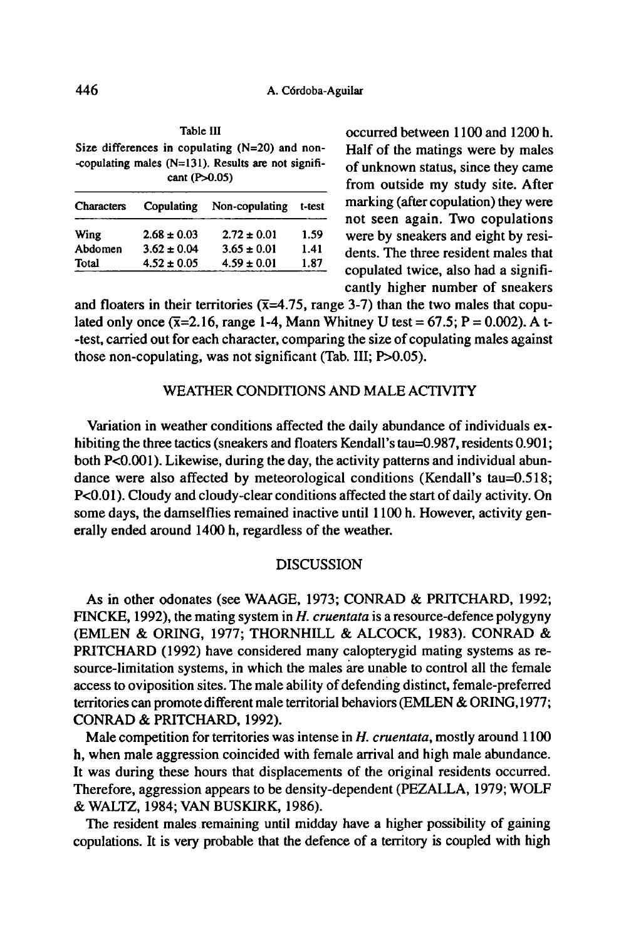Size differences in copulating (N=20) and non- -copulating males  $(N=131)$ . Results are not significant (P>0.05)

Table III

| Characters | Copulating      | Non-copulating  | t-test |
|------------|-----------------|-----------------|--------|
| Wing       | $2.68 \pm 0.03$ | $2.72 \pm 0.01$ | 1.59   |
| Abdomen    | $3.62 \pm 0.04$ | $3.65 \pm 0.01$ | 1.41   |
| Total      | $4.52 \pm 0.05$ | $4.59 \pm 0.01$ | 1.87   |
|            |                 |                 |        |

occurred between 1100 and 1200 h. Half of the matings were by males of unknown status, since they came from outside my study site. After marking (after copulation) they were not seen again. Two copulations were by sneakers and eight by residents. The three resident males that copulated twice, also had a significantly higher number of sneakers

and floaters in their territories ( $\bar{x}$ =4.75, range 3-7) than the two males that copulated only once  $(\overline{x}=2.16)$ , range 1-4, Mann Whitney U test = 67.5; P = 0.002). A t--test, carried out foreach character, comparing the size of copulating males against those non-copulating, was not significant (Tab. Ill; P>0.05).

## WEATHER CONDITIONS AND MALEACTIVITY

Variation in weather conditions affected the daily abundance of individuals exhibiting the three tactics (sneakers and floaters Kendall's tau=0.987, residents 0.901; both P<0.001). Likewise, during the day, the activity patterns and individual abundance were also affected by meteorological conditions (Kendall's tau=0.518; P<0.01). Cloudy and cloudy-clear conditions affected the start of daily activity. On some days, the damselflies remained inactive until 1100 h. However, activity generally ended around 1400 h, regardless of the weather.

### DISCUSSION

As in other odonates (see WAAGE, 1973; CONRAD & PRITCHARD, 1992; FINCKE, 1992), the mating system in  $H$ . cruentata is a resource-defence polygyny (EMLEN & ORING, 1977; THORNHILL & ALCOCK, 1983). CONRAD & PRITCHARD (1992) have considered many calopterygid mating systems as resource-limitation systems, in which the males are unable to control all the female access to oviposition sites. The male ability of defending distinct, female-preferred territories can promote different male territorial behaviors (EMLEN & ORING, 1977; CONRAD & PRITCHARD, 1992).

Male competition for territories was intense in  $H$ . cruentata, mostly around  $1100$ h, when male aggression coincided with female arrival and high male abundance. It was during these hours that displacements of the original residents occurred. Therefore, aggression appears to be density-dependent (PEZALLA, 1979; WOLF & WALTZ, 1984; VAN BUSKIRK, 1986).

The resident males remaining until midday have <sup>a</sup> higher possibility of gaining copulations. It is very probable that the defence of <sup>a</sup> territory is coupled with high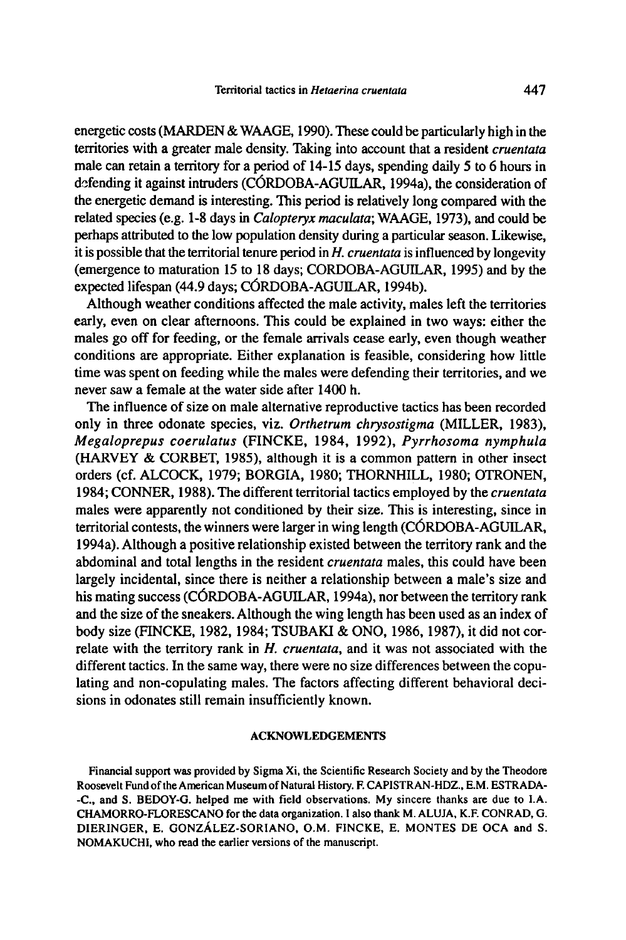energetic costs (MARDEN & WAAGE, 1990). These could be particularly high in the territories with <sup>a</sup> greater male density. Taking into account that <sup>a</sup> resident cruentata male can retain <sup>a</sup> territory for <sup>a</sup> period of 14-15 days, spending daily <sup>5</sup> to 6 hours in defending it against intruders (CÓRDOBA-AGUILAR, 1994a), the consideration of the energetic demand is interesting. This period is relatively long compared with the related species (e.g. 1-8 days in Calopteryx maculata; WAAGE, 1973), and could be perhaps attributed to the low population density during a particular season. Likewise, it is possible that the territorial tenure period in  $H$ , cruentata is influenced by longevity (emergence to maturation 15 to 18 days; CORDOBA-AGUILAR, 1995) and by the expected lifespan (44.9 days; CÓRDOBA-AGUILAR, 1994b).

Although weather conditions affected the male activity, males left the territories early, even on clear afternoons. This could be explained in two ways: either the males go off for feeding, or the female arrivals cease early, even though weather conditions are appropriate. Either explanation is feasible, considering how little time was spent on feeding while the males were defending their territories, and we never saw a female at the water side after 1400 h.

The influence of size on male alternative reproductive tactics has been recorded only in three odonate species, viz. Orthetrum chrysostigma (MILLER, 1983), Megaloprepus coerulatus (FINCKE, 1984, 1992), Pyrrhosoma nymphula (HARVEY & CORBET, 1985), although it is <sup>a</sup> common pattern in other insect orders (cf. ALCOCK, 1979; BORGIA, 1980; THORNHILL, 1980; OTRONEN, 1984; CONNER, 1988). The different territorial tactics employed by the *cruentata* males were apparently not conditioned by their size. This is interesting, since in territorial contests, the winners were larger in wing length (CÓRDOBA-AGUILAR, 1994a). Although <sup>a</sup> positive relationship existed between the territory rank and the abdominal and total lengths in the resident *cruentata* males, this could have been largely incidental, since there is neither <sup>a</sup> relationship between <sup>a</sup> male's size and his mating success (CÖRDOBA-AGUILAR, 1994a), nor between the territory rank and the size of the sneakers. Although the wing length has been used as an index of body size (FINCKE, 1982, 1984; TSUBAKI & ONO, 1986, 1987), it did not correlate with the territory rank in  $H$ . cruentata, and it was not associated with the different tactics. In the same way, there were no size differences between the copulating and non-copulating males. The factors affecting different behavioral decisions in odonates still remain insufficiently known.

#### ACKNOWLEDGEMENTS

Financial support was provided by Sigma Xi, the Scientific Research Society and by the Theodore Roosevelt Fund of the American Museum of Natural History. F. CAPISTRAN-HDZ., E.M. ESTRADA--C., and S. BEDOY-G. helped me with field observations. My sincere thanks are due to LA. CHAMORRO-FLORESCANO for the data organization. <sup>1</sup> also thank M. ALUJA, K.F. CONRAD, G. D1ERINGER, E. GONZALEZ-SOR1ANO, O.M. FINCKE, E. MONTES DE OCA and S. NOMAKUCHI, who read the earlier versions of the manuscript.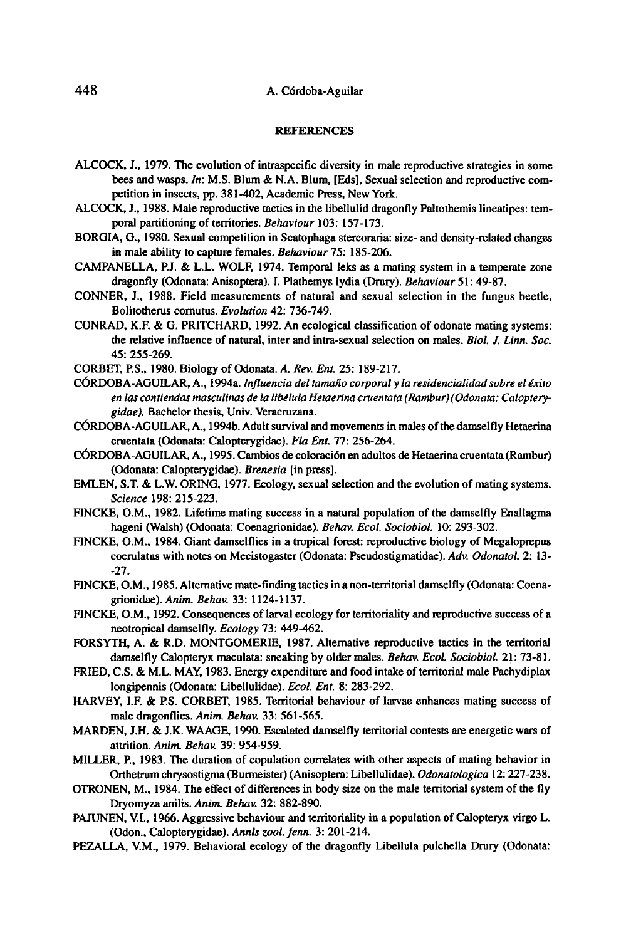### 448 A. Cordoba-Aguilar

#### **REFERENCES**

- ALCOCK, J., 1979. The evolution of intraspecific diversity in male reproductive strategies in some bees and wasps. In: M.S. Blum & N.A. Blum, [Eds], Sexual selection and reproductive competition in insects, pp. 381-402, Academic Press, New York.
- ALCOCK, J., 1988. Male reproductive tactics in the libellulid dragonfly Paltothemis lineatipes: temporal partitioning of territories. Behaviour 103: 157-173.
- BORGIA, G., 1980. Sexual competition in Scatophaga stercoraria: size- and density-related changes in male ability to capture females. Behaviour 75: 185-206.
- CAMPANELLA, P.J, & L.L. WOLF, 1974. Temporal leks as <sup>a</sup> mating system in <sup>a</sup> temperate zone dragonfly (Odonata: Anisoptera). I. Plathemys lydia (Drury). Behaviour 51: 49-87.
- CONNER, J., 1988. Field measurements of natural and sexual selection in the fungus beetle, Bolitotherus comutus. Evolution 42: 736-749.
- CONRAD, K.F. & G. PRITCHARD, 1992. An ecological classification of odonate mating systems: the relative influence of natural, inter and intra-sexual selection on males. Biol. J. Linn. Soc. 45: 255-269.
- CORBET, P.S., 1980. Biology of Odonata. A. Rev. Ent. 25: 189-217.
- CÓRDOBA-AGUILAR, A., 1994a. Influencia del tamaño corporal y la residencialidad sobre el éxito en las contiendas masculinas de la libélula Hetaerina cruentata (Rambur) (Odonata: Calopterygidae). Bachelor thesis, Univ. Veracruzana.
- CÓRDOBA-AGUILAR, A., 1994b. Adult survival and movements in males of the damselfly Hetaerina cruentata (Odonata: Calopterygidae). Fla Ent. 77: 256-264.
- CÖRDOB A-AGUILAR, A., 1995. Cambios de coloraciön en adultes de Hetaerina cruentata (Rambur) (Odonata:Calopterygidae). Brenesia [in press].
- EMLEN, S.T. & L.W. ORING, 1977. Ecology, sexual selection and the evolution of mating systems. Science 198: 215-223.
- F1NCKE, O.M., 1982. Lifetime mating success in a natural populationof the damselfly Enallagma hageni (Walsh) (Odonata: Coenagrionidae). Behav. Ecol. Sociobiol. 10: 293-302.
- F1NCKE, O.M., 1984. Giant damselflies in <sup>a</sup> tropical forest: reproductive biology of Megaloprepus coerulatus with notes on Mecistogaster (Odonata: Pseudostigmatidae). Adv. Odonatol. 2: 13--27.
- FINCKE, O.M., 1985. Alternative mate-finding tactics in a non-territorial damselfly (Odonata: Coenagrionidae). Anim. Behav. 33: 1124-1137.
- FINCKE, O.M., 1992. Consequences of larval ecology for territorialityand reproductive successof a neotropical damselfly.Ecology 73: 449-462.
- FORSYTH, A. & R.D. MONTGOMERIE, 1987. Alternative reproductive tactics in the territorial damselfly Calopteryx maculata: sneaking by older males. Behav. Ecol. Sociobiol. 21: 73-81.
- FRIED, C.S. & M.L. MAY, 1983. Energy expenditure and food intake of territorial male Pachydiplax longipennis (Odonata: Libellulidae). Ecol. Ent. 8: 283-292.
- HARVEY, I.F. & P.S. CORBET, 1985. Territorial behaviour of larvae enhances mating success of male dragonflies. Anim. Behav. 33: 561-565.
- MARDEN, J.H. & J.K. WAAGE, 1990. Escalated damselfly territorial contests are energetic wars of attrition. Anim. Behav. 39: 954-959.
- MILLER, F, 1983. The duration of copulation correlates with other aspects of mating behavior in Orthetrum chrysostigma (Burmeister) (Anisoptera: Libellulidae). Odonatologica 12:227-238.
- OTRONEN, M., 1984. The effect of differences in body size on the male territorial system of the fly Dryomyza anilis. Anim. Behav. 32: 882-890.
- PAJUNEN, V.I., 1966. Aggressive behaviour and territoriality in a population of Calopteryx virgo L. (Odon., Calopterygidae). Annls zool. fenn. 3: 201-214.
- PEZALLA, V.M., 1979. Behavioral ecology of the dragonfly Libellula pulchella Drury (Odonata: